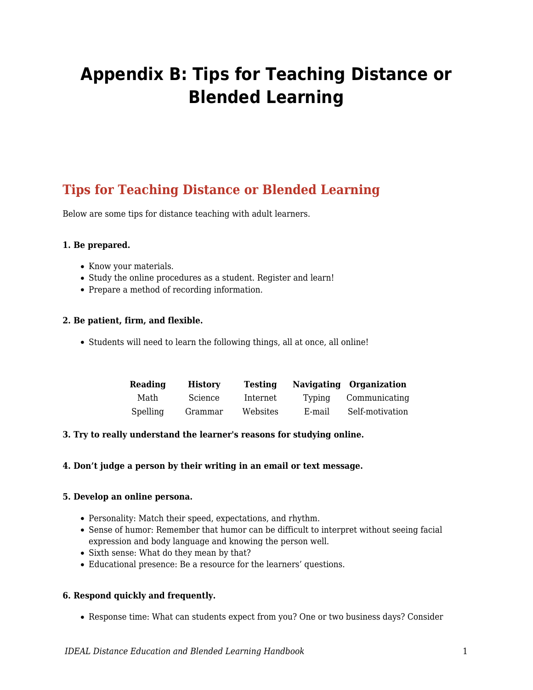# **Appendix B: Tips for Teaching Distance or Blended Learning**

# **Tips for Teaching Distance or Blended Learning**

Below are some tips for distance teaching with adult learners.

# **1. Be prepared.**

- Know your materials.
- Study the online procedures as a student. Register and learn!
- Prepare a method of recording information.

#### **2. Be patient, firm, and flexible.**

• Students will need to learn the following things, all at once, all online!

| Reading  | <b>History</b> | Testina  |        | Navigating Organization |
|----------|----------------|----------|--------|-------------------------|
| Math     | Science        | Internet | Typing | Communicating           |
| Spelling | Grammar        | Websites | E-mail | Self-motivation         |

#### **3. Try to really understand the learner's reasons for studying online.**

#### **4. Don't judge a person by their writing in an email or text message.**

#### **5. Develop an online persona.**

- Personality: Match their speed, expectations, and rhythm.
- Sense of humor: Remember that humor can be difficult to interpret without seeing facial expression and body language and knowing the person well.
- Sixth sense: What do they mean by that?
- Educational presence: Be a resource for the learners' questions.

#### **6. Respond quickly and frequently.**

Response time: What can students expect from you? One or two business days? Consider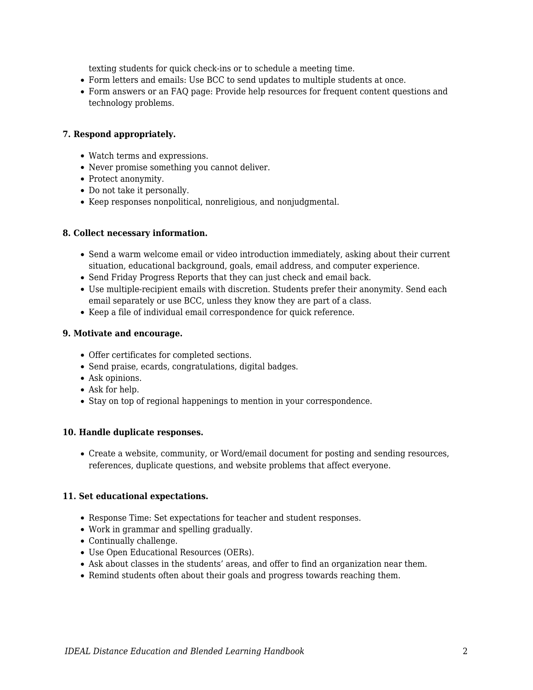texting students for quick check-ins or to schedule a meeting time.

- Form letters and emails: Use BCC to send updates to multiple students at once.
- Form answers or an FAQ page: Provide help resources for frequent content questions and technology problems.

# **7. Respond appropriately.**

- Watch terms and expressions.
- Never promise something you cannot deliver.
- Protect anonymity.
- Do not take it personally.
- Keep responses nonpolitical, nonreligious, and nonjudgmental.

# **8. Collect necessary information.**

- Send a warm welcome email or video introduction immediately, asking about their current situation, educational background, goals, email address, and computer experience.
- Send Friday Progress Reports that they can just check and email back.
- Use multiple-recipient emails with discretion. Students prefer their anonymity. Send each email separately or use BCC, unless they know they are part of a class.
- Keep a file of individual email correspondence for quick reference.

# **9. Motivate and encourage.**

- Offer certificates for completed sections.
- Send praise, ecards, congratulations, digital badges.
- Ask opinions.
- Ask for help.
- Stay on top of regional happenings to mention in your correspondence.

#### **10. Handle duplicate responses.**

Create a website, community, or Word/email document for posting and sending resources, references, duplicate questions, and website problems that affect everyone.

#### **11. Set educational expectations.**

- Response Time: Set expectations for teacher and student responses.
- Work in grammar and spelling gradually.
- Continually challenge.
- Use Open Educational Resources (OERs).
- Ask about classes in the students' areas, and offer to find an organization near them.
- Remind students often about their goals and progress towards reaching them.